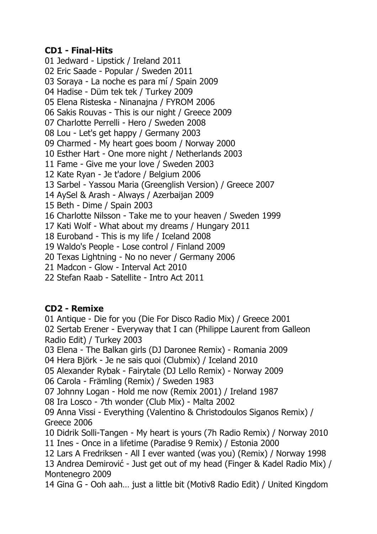#### **CD1 - Final-Hits**

01 Jedward - Lipstick / Ireland 2011 02 Eric Saade - Popular / Sweden 2011 03 Soraya - La noche es para mí / Spain 2009 04 Hadise - Düm tek tek / Turkey 2009 05 Elena Risteska - Ninanajna / FYROM 2006 06 Sakis Rouvas - This is our night / Greece 2009 07 Charlotte Perrelli - Hero / Sweden 2008 08 Lou - Let's get happy / Germany 2003 09 Charmed - My heart goes boom / Norway 2000 10 Esther Hart - One more night / Netherlands 2003 11 Fame - Give me your love / Sweden 2003 12 Kate Ryan - Je t'adore / Belgium 2006 13 Sarbel - Yassou Maria (Greenglish Version) / Greece 2007 14 AySel & Arash - Always / Azerbaijan 2009 15 Beth - Dime / Spain 2003 16 Charlotte Nilsson - Take me to your heaven / Sweden 1999 17 Kati Wolf - What about my dreams / Hungary 2011 18 Euroband - This is my life / Iceland 2008 19 Waldo's People - Lose control / Finland 2009 20 Texas Lightning - No no never / Germany 2006 21 Madcon - Glow - Interval Act 2010 22 Stefan Raab - Satellite - Intro Act 2011

## **CD2 - Remixe**

01 Antique - Die for you (Die For Disco Radio Mix) / Greece 2001 02 Sertab Erener - Everyway that I can (Philippe Laurent from Galleon Radio Edit) / Turkey 2003

03 Elena - The Balkan girls (DJ Daronee Remix) - Romania 2009

04 Hera Björk - Je ne sais quoi (Clubmix) / Iceland 2010

05 Alexander Rybak - Fairytale (DJ Lello Remix) - Norway 2009

06 Carola - Främling (Remix) / Sweden 1983

07 Johnny Logan - Hold me now (Remix 2001) / Ireland 1987

08 Ira Losco - 7th wonder (Club Mix) - Malta 2002

09 Anna Vissi - Everything (Valentino & Christodoulos Siganos Remix) / Greece 2006

10 Didrik Solli-Tangen - My heart is yours (7h Radio Remix) / Norway 2010

11 Ines - Once in a lifetime (Paradise 9 Remix) / Estonia 2000

12 Lars A Fredriksen - All I ever wanted (was you) (Remix) / Norway 1998

13 Andrea Demirović - Just get out of my head (Finger & Kadel Radio Mix) / Montenegro 2009

14 Gina G - Ooh aah… just a little bit (Motiv8 Radio Edit) / United Kingdom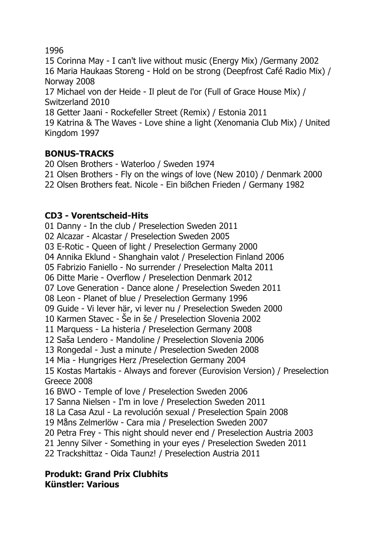## 1996

15 Corinna May - I can't live without music (Energy Mix) /Germany 2002 16 Maria Haukaas Storeng - Hold on be strong (Deepfrost Café Radio Mix) / Norway 2008 17 Michael von der Heide - Il pleut de l'or (Full of Grace House Mix) / Switzerland 2010 18 Getter Jaani - Rockefeller Street (Remix) / Estonia 2011 19 Katrina & The Waves - Love shine a light (Xenomania Club Mix) / United Kingdom 1997

# **BONUS-TRACKS**

20 Olsen Brothers - Waterloo / Sweden 1974 21 Olsen Brothers - Fly on the wings of love (New 2010) / Denmark 2000 22 Olsen Brothers feat. Nicole - Ein bißchen Frieden / Germany 1982

# **CD3 - Vorentscheid-Hits**

01 Danny - In the club / Preselection Sweden 2011 02 Alcazar - Alcastar / Preselection Sweden 2005 03 E-Rotic - Queen of light / Preselection Germany 2000 04 Annika Eklund - Shanghain valot / Preselection Finland 2006 05 Fabrizio Faniello - No surrender / Preselection Malta 2011 06 Ditte Marie - Overflow / Preselection Denmark 2012 07 Love Generation - Dance alone / Preselection Sweden 2011 08 Leon - Planet of blue / Preselection Germany 1996 09 Guide - Vi lever här, vi lever nu / Preselection Sweden 2000 10 Karmen Stavec - Še in še / Preselection Slovenia 2002 11 Marquess - La histeria / Preselection Germany 2008 12 Saša Lendero - Mandoline / Preselection Slovenia 2006 13 Rongedal - Just a minute / Preselection Sweden 2008 14 Mia - Hungriges Herz /Preselection Germany 2004 15 Kostas Martakis - Always and forever (Eurovision Version) / Preselection Greece 2008 16 BWO - Temple of love / Preselection Sweden 2006 17 Sanna Nielsen - I'm in love / Preselection Sweden 2011 18 La Casa Azul - La revolución sexual / Preselection Spain 2008 19 Måns Zelmerlöw - Cara mia / Preselection Sweden 2007 20 Petra Frey - This night should never end / Preselection Austria 2003 21 Jenny Silver - Something in your eyes / Preselection Sweden 2011 22 Trackshittaz - Oida Taunz! / Preselection Austria 2011

#### **Produkt: Grand Prix Clubhits Künstler: Various**